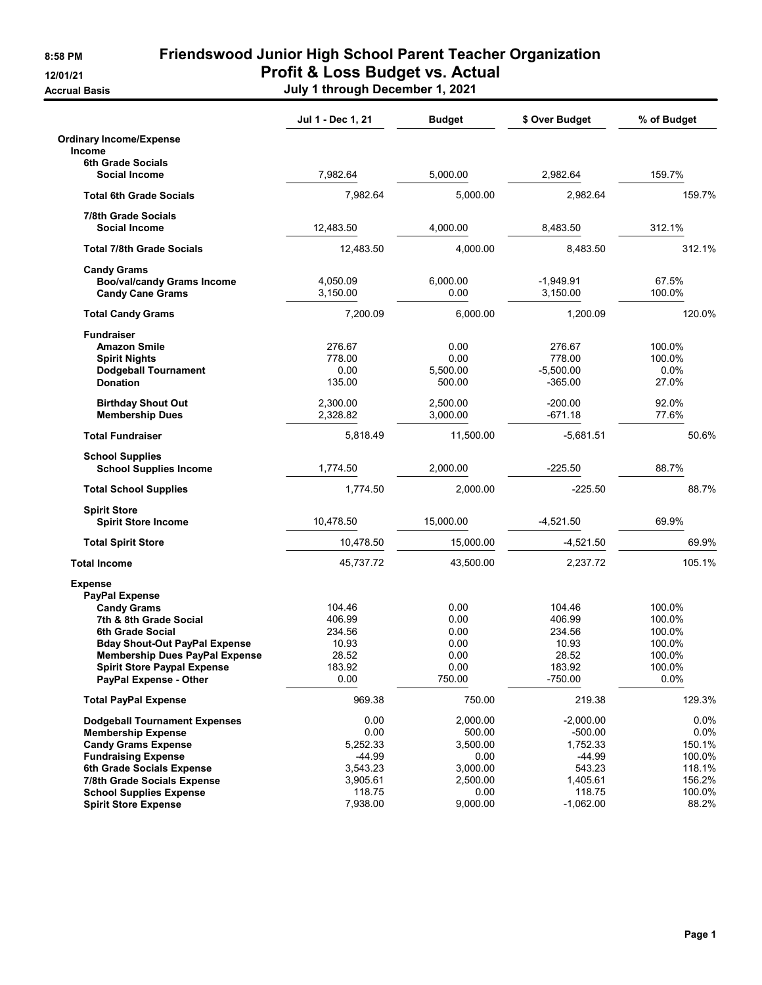## 8:58 PM Friendswood Junior High School Parent Teacher Organization 12/01/21 Profit & Loss Budget vs. Actual

Accrual Basis July 1 through December 1, 2021

|                                                                                               | Jul 1 - Dec 1, 21                  | <b>Budget</b>                      | \$ Over Budget                               | % of Budget                          |
|-----------------------------------------------------------------------------------------------|------------------------------------|------------------------------------|----------------------------------------------|--------------------------------------|
| <b>Ordinary Income/Expense</b>                                                                |                                    |                                    |                                              |                                      |
| <b>Income</b>                                                                                 |                                    |                                    |                                              |                                      |
| <b>6th Grade Socials</b><br>Social Income                                                     | 7,982.64                           | 5,000.00                           | 2.982.64                                     | 159.7%                               |
| <b>Total 6th Grade Socials</b>                                                                | 7,982.64                           | 5,000.00                           | 2,982.64                                     | 159.7%                               |
| 7/8th Grade Socials                                                                           |                                    |                                    |                                              |                                      |
| <b>Social Income</b>                                                                          | 12,483.50                          | 4,000.00                           | 8,483.50                                     | 312.1%                               |
| <b>Total 7/8th Grade Socials</b>                                                              | 12,483.50                          | 4,000.00                           | 8,483.50                                     | 312.1%                               |
| <b>Candy Grams</b><br><b>Boo/val/candy Grams Income</b><br><b>Candy Cane Grams</b>            | 4,050.09<br>3,150.00               | 6,000.00<br>0.00                   | $-1,949.91$<br>3,150.00                      | 67.5%<br>100.0%                      |
| <b>Total Candy Grams</b>                                                                      | 7,200.09                           | 6,000.00                           | 1,200.09                                     | 120.0%                               |
| <b>Fundraiser</b>                                                                             |                                    |                                    |                                              |                                      |
| <b>Amazon Smile</b><br><b>Spirit Nights</b><br><b>Dodgeball Tournament</b><br><b>Donation</b> | 276.67<br>778.00<br>0.00<br>135.00 | 0.00<br>0.00<br>5,500.00<br>500.00 | 276.67<br>778.00<br>$-5.500.00$<br>$-365.00$ | 100.0%<br>100.0%<br>$0.0\%$<br>27.0% |
| <b>Birthday Shout Out</b><br><b>Membership Dues</b>                                           | 2,300.00<br>2,328.82               | 2,500.00<br>3,000.00               | $-200.00$<br>$-671.18$                       | 92.0%<br>77.6%                       |
| <b>Total Fundraiser</b>                                                                       | 5,818.49                           | 11,500.00                          | $-5,681.51$                                  | 50.6%                                |
| <b>School Supplies</b><br><b>School Supplies Income</b>                                       | 1,774.50                           | 2,000.00                           | $-225.50$                                    | 88.7%                                |
| <b>Total School Supplies</b>                                                                  | 1,774.50                           | 2,000.00                           | $-225.50$                                    | 88.7%                                |
| <b>Spirit Store</b><br><b>Spirit Store Income</b>                                             | 10,478.50                          | 15,000.00                          | $-4,521.50$                                  | 69.9%                                |
| <b>Total Spirit Store</b>                                                                     | 10,478.50                          | 15,000.00                          | -4,521.50                                    | 69.9%                                |
| <b>Total Income</b>                                                                           | 45,737.72                          | 43,500.00                          | 2,237.72                                     | 105.1%                               |
| <b>Expense</b><br><b>PayPal Expense</b><br><b>Candy Grams</b>                                 | 104.46                             | 0.00                               | 104.46                                       | 100.0%                               |
| 7th & 8th Grade Social                                                                        | 406.99                             | 0.00                               | 406.99                                       | 100.0%                               |
| 6th Grade Social                                                                              | 234.56                             | 0.00                               | 234.56                                       | 100.0%                               |
| <b>Bday Shout-Out PayPal Expense</b>                                                          | 10.93                              | 0.00                               | 10.93                                        | 100.0%                               |
| <b>Membership Dues PayPal Expense</b><br><b>Spirit Store Paypal Expense</b>                   | 28.52<br>183.92                    | 0.00<br>0.00                       | 28.52<br>183.92                              | 100.0%<br>100.0%                     |
| PayPal Expense - Other                                                                        | 0.00                               | 750.00                             | $-750.00$                                    | 0.0%                                 |
| <b>Total PayPal Expense</b>                                                                   | 969.38                             | 750.00                             | 219.38                                       | 129.3%                               |
| <b>Dodgeball Tournament Expenses</b>                                                          | 0.00                               | 2,000.00                           | $-2,000.00$                                  | 0.0%                                 |
| <b>Membership Expense</b>                                                                     | 0.00                               | 500.00                             | $-500.00$                                    | 0.0%                                 |
| <b>Candy Grams Expense</b>                                                                    | 5,252.33                           | 3,500.00                           | 1,752.33                                     | 150.1%                               |
| <b>Fundraising Expense</b>                                                                    | $-44.99$                           | 0.00                               | $-44.99$                                     | 100.0%                               |
| 6th Grade Socials Expense                                                                     | 3,543.23                           | 3,000.00                           | 543.23                                       | 118.1%                               |
| 7/8th Grade Socials Expense                                                                   | 3,905.61                           | 2,500.00                           | 1,405.61                                     | 156.2%                               |
| <b>School Supplies Expense</b>                                                                | 118.75                             | 0.00                               | 118.75                                       | 100.0%                               |
| <b>Spirit Store Expense</b>                                                                   | 7,938.00                           | 9,000.00                           | $-1,062.00$                                  | 88.2%                                |